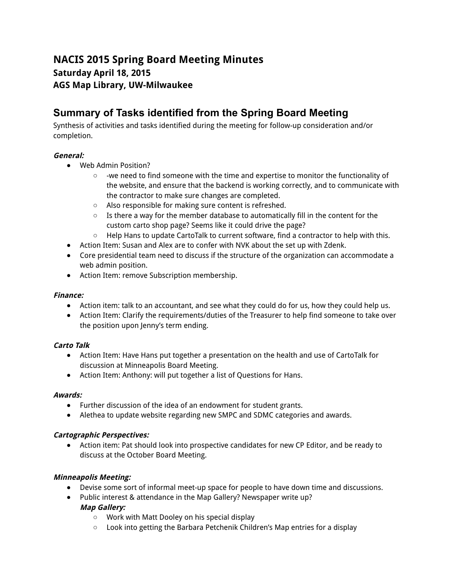# **NACIS 2015 Spring Board Meeting Minutes Saturday April 18, 2015 AGS Map Library, UW-Milwaukee**

# **Summary of Tasks identified from the Spring Board Meeting**

Synthesis of activities and tasks identified during the meeting for follow-up consideration and/or completion.

# **General:**

- Web Admin Position?
	- -we need to find someone with the time and expertise to monitor the functionality of the website, and ensure that the backend is working correctly, and to communicate with the contractor to make sure changes are completed.
	- Also responsible for making sure content is refreshed.
	- $\circ$  Is there a way for the member database to automatically fill in the content for the custom carto shop page? Seems like it could drive the page?
	- $\circ$  Help Hans to update CartoTalk to current software, find a contractor to help with this.
- Action Item: Susan and Alex are to confer with NVK about the set up with Zdenk.
- Core presidential team need to discuss if the structure of the organization can accommodate a web admin position.
- Action Item: remove Subscription membership.

# **Finance:**

- Action item: talk to an accountant, and see what they could do for us, how they could help us.
- Action Item: Clarify the requirements/duties of the Treasurer to help find someone to take over the position upon Jenny's term ending.

# **Carto Talk**

- Action Item: Have Hans put together a presentation on the health and use of CartoTalk for discussion at Minneapolis Board Meeting.
- Action Item: Anthony: will put together a list of Questions for Hans.

# **Awards:**

- Further discussion of the idea of an endowment for student grants.
- Alethea to update website regarding new SMPC and SDMC categories and awards.

# **Cartographic Perspectives:**

● Action item: Pat should look into prospective candidates for new CP Editor, and be ready to discuss at the October Board Meeting.

# **Minneapolis Meeting:**

- Devise some sort of informal meet-up space for people to have down time and discussions.
- Public interest & attendance in the Map Gallery? Newspaper write up? **Map Gallery:**
	- Work with Matt Dooley on his special display
	- Look into getting the Barbara Petchenik Children's Map entries for a display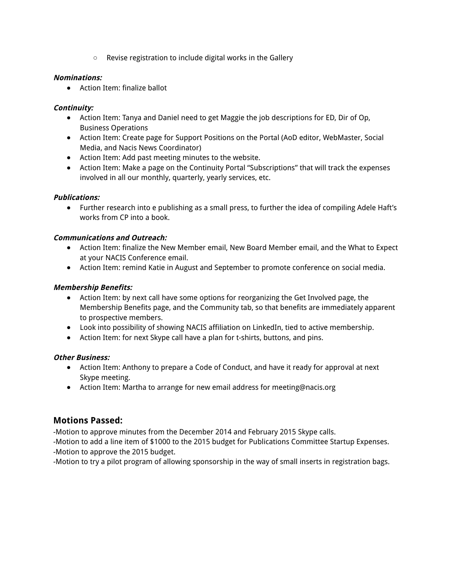○ Revise registration to include digital works in the Gallery

## **Nominations:**

● Action Item: finalize ballot

# **Continuity:**

- Action Item: Tanya and Daniel need to get Maggie the job descriptions for ED, Dir of Op, Business Operations
- Action Item: Create page for Support Positions on the Portal (AoD editor, WebMaster, Social Media, and Nacis News Coordinator)
- Action Item: Add past meeting minutes to the website.
- Action Item: Make a page on the Continuity Portal "Subscriptions" that will track the expenses involved in all our monthly, quarterly, yearly services, etc.

## **Publications:**

● Further research into e publishing as a small press, to further the idea of compiling Adele Haft's works from CP into a book.

## **Communications and Outreach:**

- Action Item: finalize the New Member email, New Board Member email, and the What to Expect at your NACIS Conference email.
- Action Item: remind Katie in August and September to promote conference on social media.

## **Membership Benefits:**

- Action Item: by next call have some options for reorganizing the Get Involved page, the Membership Benefits page, and the Community tab, so that benefits are immediately apparent to prospective members.
- Look into possibility of showing NACIS affiliation on LinkedIn, tied to active membership.
- Action Item: for next Skype call have a plan for t-shirts, buttons, and pins.

#### **Other Business:**

- Action Item: Anthony to prepare a Code of Conduct, and have it ready for approval at next Skype meeting.
- Action Item: Martha to arrange for new email address for meeting@nacis.org

# **Motions Passed:**

-Motion to approve minutes from the December 2014 and February 2015 Skype calls.

-Motion to add a line item of \$1000 to the 2015 budget for Publications Committee Startup Expenses. -Motion to approve the 2015 budget.

-Motion to try a pilot program of allowing sponsorship in the way of small inserts in registration bags.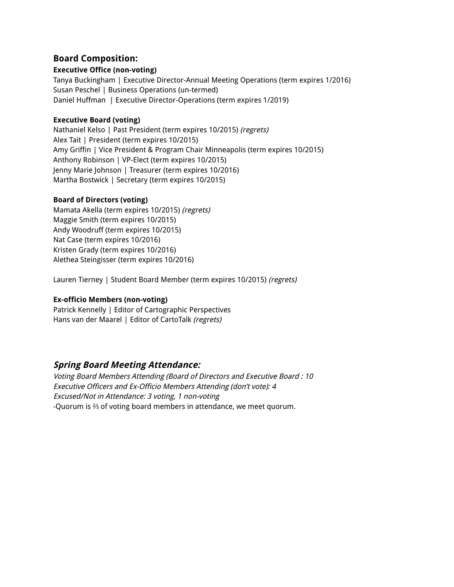# **Board Composition:**

# **Executive Office (non-voting)**

Tanya Buckingham | Executive Director-Annual Meeting Operations (term expires 1/2016) Susan Peschel | Business Operations (un-termed) Daniel Huffman | Executive Director-Operations (term expires 1/2019)

# **Executive Board (voting)**

Nathaniel Kelso | Past President (term expires 10/2015) (regrets) Alex Tait | President (term expires 10/2015) Amy Griffin | Vice President & Program Chair Minneapolis (term expires 10/2015) Anthony Robinson | VP-Elect (term expires 10/2015) Jenny Marie Johnson | Treasurer (term expires 10/2016) Martha Bostwick | Secretary (term expires 10/2015)

## **Board of Directors (voting)**

Mamata Akella (term expires 10/2015) (regrets) Maggie Smith (term expires 10/2015) Andy Woodruff (term expires 10/2015) Nat Case (term expires 10/2016) Kristen Grady (term expires 10/2016) Alethea Steingisser (term expires 10/2016)

Lauren Tierney | Student Board Member (term expires 10/2015) (regrets)

# **Ex-officio Members (non-voting)**

Patrick Kennelly | Editor of Cartographic Perspectives Hans van der Maarel | Editor of CartoTalk (regrets)

# **Spring Board Meeting Attendance:**

Voting Board Members Attending (Board of Directors and Executive Board : 10 Executive Officers and Ex-Officio Members Attending (don't vote): 4 Excused/Not in Attendance: 3 voting, 1 non-voting -Quorum is ⅔ of voting board members in attendance, we meet quorum.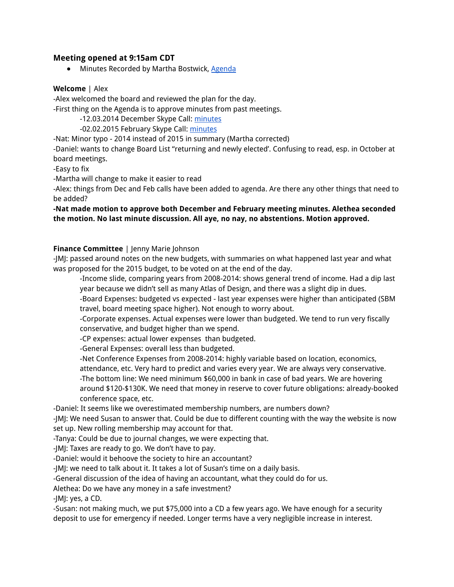# **Meeting opened at 9:15am CDT**

• Minutes Recorded by Martha Bostwick, Agenda

#### **Welcome** | Alex

-Alex welcomed the board and reviewed the plan for the day.

-First thing on the Agenda is to approve minutes from past meetings.

-12.03.2014 December Skype Call: minutes

-02.02.2015 February Skype Call: minutes

-Nat: Minor typo - 2014 instead of 2015 in summary (Martha corrected)

-Daniel: wants to change Board List "returning and newly elected'. Confusing to read, esp. in October at board meetings.

-Easy to fix

-Martha will change to make it easier to read

-Alex: things from Dec and Feb calls have been added to agenda. Are there any other things that need to be added?

**-Nat made motion to approve both December and February meeting minutes. Alethea seconded the motion. No last minute discussion. All aye, no nay, no abstentions. Motion approved.**

#### **Finance Committee** | Jenny Marie Johnson

-JMJ: passed around notes on the new budgets, with summaries on what happened last year and what was proposed for the 2015 budget, to be voted on at the end of the day.

-Income slide, comparing years from 2008-2014: shows general trend of income. Had a dip last year because we didn't sell as many Atlas of Design, and there was a slight dip in dues.

-Board Expenses: budgeted vs expected - last year expenses were higher than anticipated (SBM travel, board meeting space higher). Not enough to worry about.

-Corporate expenses. Actual expenses were lower than budgeted. We tend to run very fiscally conservative, and budget higher than we spend.

-CP expenses: actual lower expenses than budgeted.

-General Expenses: overall less than budgeted.

-Net Conference Expenses from 2008-2014: highly variable based on location, economics,

attendance, etc. Very hard to predict and varies every year. We are always very conservative. -The bottom line: We need minimum \$60,000 in bank in case of bad years. We are hovering around \$120-\$130K. We need that money in reserve to cover future obligations: already-booked

conference space, etc.

-Daniel: It seems like we overestimated membership numbers, are numbers down?

-JMJ: We need Susan to answer that. Could be due to different counting with the way the website is now set up. New rolling membership may account for that.

-Tanya: Could be due to journal changes, we were expecting that.

-JMJ: Taxes are ready to go. We don't have to pay.

-Daniel: would it behoove the society to hire an accountant?

-JMJ: we need to talk about it. It takes a lot of Susan's time on a daily basis.

-General discussion of the idea of having an accountant, what they could do for us.

Alethea: Do we have any money in a safe investment?

-JMJ: yes, a CD.

-Susan: not making much, we put \$75,000 into a CD a few years ago. We have enough for a security deposit to use for emergency if needed. Longer terms have a very negligible increase in interest.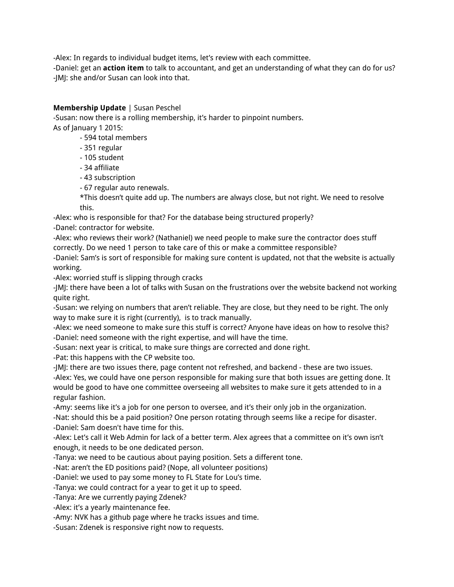-Alex: In regards to individual budget items, let's review with each committee.

-Daniel: get an **action item** to talk to accountant, and get an understanding of what they can do for us? -JMJ: she and/or Susan can look into that.

# **Membership Update** | Susan Peschel

-Susan: now there is a rolling membership, it's harder to pinpoint numbers. As of January 1 2015:

- 594 total members
- 351 regular
- 105 student
- 34 affiliate
- 43 subscription
- 67 regular auto renewals.

\*This doesn't quite add up. The numbers are always close, but not right. We need to resolve this.

-Alex: who is responsible for that? For the database being structured properly?

-Danel: contractor for website.

-Alex: who reviews their work? (Nathaniel) we need people to make sure the contractor does stuff correctly. Do we need 1 person to take care of this or make a committee responsible?

-Daniel: Sam's is sort of responsible for making sure content is updated, not that the website is actually working.

-Alex: worried stuff is slipping through cracks

-JMJ: there have been a lot of talks with Susan on the frustrations over the website backend not working quite right.

-Susan: we relying on numbers that aren't reliable. They are close, but they need to be right. The only way to make sure it is right (currently), is to track manually.

-Alex: we need someone to make sure this stuff is correct? Anyone have ideas on how to resolve this? -Daniel: need someone with the right expertise, and will have the time.

-Susan: next year is critical, to make sure things are corrected and done right.

-Pat: this happens with the CP website too.

-JMJ: there are two issues there, page content not refreshed, and backend - these are two issues. -Alex: Yes, we could have one person responsible for making sure that both issues are getting done. It would be good to have one committee overseeing all websites to make sure it gets attended to in a regular fashion.

-Amy: seems like it's a job for one person to oversee, and it's their only job in the organization.

-Nat: should this be a paid position? One person rotating through seems like a recipe for disaster. -Daniel: Sam doesn't have time for this.

-Alex: Let's call it Web Admin for lack of a better term. Alex agrees that a committee on it's own isn't enough, it needs to be one dedicated person.

-Tanya: we need to be cautious about paying position. Sets a different tone.

-Nat: aren't the ED positions paid? (Nope, all volunteer positions)

-Daniel: we used to pay some money to FL State for Lou's time.

-Tanya: we could contract for a year to get it up to speed.

-Tanya: Are we currently paying Zdenek?

-Alex: it's a yearly maintenance fee.

-Amy: NVK has a github page where he tracks issues and time.

-Susan: Zdenek is responsive right now to requests.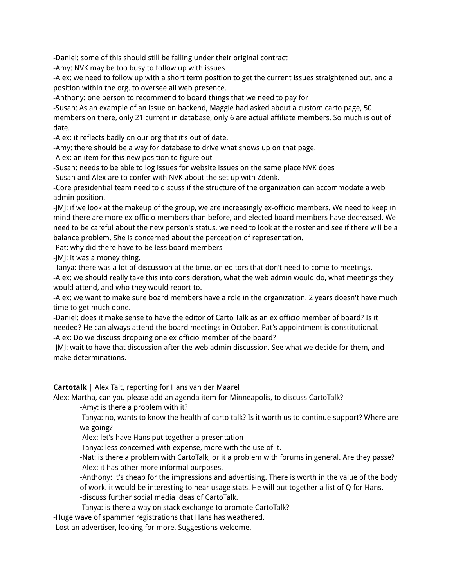-Daniel: some of this should still be falling under their original contract

-Amy: NVK may be too busy to follow up with issues

-Alex: we need to follow up with a short term position to get the current issues straightened out, and a position within the org. to oversee all web presence.

-Anthony: one person to recommend to board things that we need to pay for

-Susan: As an example of an issue on backend, Maggie had asked about a custom carto page, 50 members on there, only 21 current in database, only 6 are actual affiliate members. So much is out of date.

-Alex: it reflects badly on our org that it's out of date.

-Amy: there should be a way for database to drive what shows up on that page.

-Alex: an item for this new position to figure out

-Susan: needs to be able to log issues for website issues on the same place NVK does

-Susan and Alex are to confer with NVK about the set up with Zdenk.

-Core presidential team need to discuss if the structure of the organization can accommodate a web admin position.

-JMJ: if we look at the makeup of the group, we are increasingly ex-officio members. We need to keep in mind there are more ex-officio members than before, and elected board members have decreased. We need to be careful about the new person's status, we need to look at the roster and see if there will be a balance problem. She is concerned about the perception of representation.

-Pat: why did there have to be less board members

-JMJ: it was a money thing.

-Tanya: there was a lot of discussion at the time, on editors that don't need to come to meetings, -Alex: we should really take this into consideration, what the web admin would do, what meetings they would attend, and who they would report to.

-Alex: we want to make sure board members have a role in the organization. 2 years doesn't have much time to get much done.

-Daniel: does it make sense to have the editor of Carto Talk as an ex officio member of board? Is it needed? He can always attend the board meetings in October. Pat's appointment is constitutional. -Alex: Do we discuss dropping one ex officio member of the board?

-JMJ: wait to have that discussion after the web admin discussion. See what we decide for them, and make determinations.

**Cartotalk** | Alex Tait, reporting for Hans van der Maarel

Alex: Martha, can you please add an agenda item for Minneapolis, to discuss CartoTalk?

-Amy: is there a problem with it?

-Tanya: no, wants to know the health of carto talk? Is it worth us to continue support? Where are we going?

-Alex: let's have Hans put together a presentation

-Tanya: less concerned with expense, more with the use of it.

-Nat: is there a problem with CartoTalk, or it a problem with forums in general. Are they passe? -Alex: it has other more informal purposes.

-Anthony: it's cheap for the impressions and advertising. There is worth in the value of the body of work. it would be interesting to hear usage stats. He will put together a list of Q for Hans. -discuss further social media ideas of CartoTalk.

-Tanya: is there a way on stack exchange to promote CartoTalk?

-Huge wave of spammer registrations that Hans has weathered.

-Lost an advertiser, looking for more. Suggestions welcome.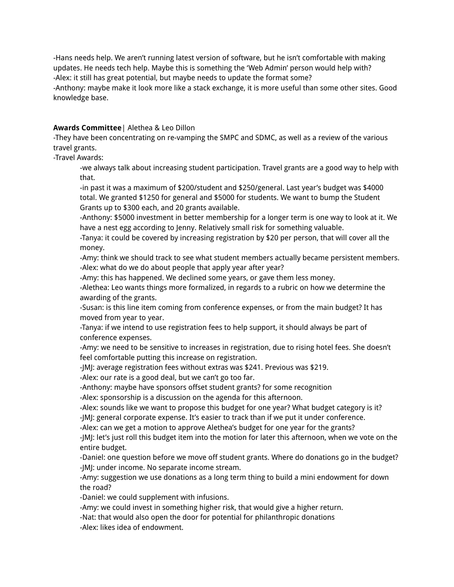-Hans needs help. We aren't running latest version of software, but he isn't comfortable with making updates. He needs tech help. Maybe this is something the 'Web Admin' person would help with? -Alex: it still has great potential, but maybe needs to update the format some?

-Anthony: maybe make it look more like a stack exchange, it is more useful than some other sites. Good knowledge base.

#### **Awards Committee**| Alethea & Leo Dillon

-They have been concentrating on re-vamping the SMPC and SDMC, as well as a review of the various travel grants.

-Travel Awards:

-we always talk about increasing student participation. Travel grants are a good way to help with that.

-in past it was a maximum of \$200/student and \$250/general. Last year's budget was \$4000 total. We granted \$1250 for general and \$5000 for students. We want to bump the Student Grants up to \$300 each, and 20 grants available.

-Anthony: \$5000 investment in better membership for a longer term is one way to look at it. We have a nest egg according to Jenny. Relatively small risk for something valuable.

-Tanya: it could be covered by increasing registration by \$20 per person, that will cover all the money.

-Amy: think we should track to see what student members actually became persistent members. -Alex: what do we do about people that apply year after year?

-Amy: this has happened. We declined some years, or gave them less money.

-Alethea: Leo wants things more formalized, in regards to a rubric on how we determine the awarding of the grants.

-Susan: is this line item coming from conference expenses, or from the main budget? It has moved from year to year.

-Tanya: if we intend to use registration fees to help support, it should always be part of conference expenses.

-Amy: we need to be sensitive to increases in registration, due to rising hotel fees. She doesn't feel comfortable putting this increase on registration.

-JMJ: average registration fees without extras was \$241. Previous was \$219.

-Alex: our rate is a good deal, but we can't go too far.

-Anthony: maybe have sponsors offset student grants? for some recognition

-Alex: sponsorship is a discussion on the agenda for this afternoon.

-Alex: sounds like we want to propose this budget for one year? What budget category is it? -JMJ: general corporate expense. It's easier to track than if we put it under conference.

-Alex: can we get a motion to approve Alethea's budget for one year for the grants?

-JMJ: let's just roll this budget item into the motion for later this afternoon, when we vote on the entire budget.

-Daniel: one question before we move off student grants. Where do donations go in the budget? -JMJ: under income. No separate income stream.

-Amy: suggestion we use donations as a long term thing to build a mini endowment for down the road?

-Daniel: we could supplement with infusions.

-Amy: we could invest in something higher risk, that would give a higher return.

-Nat: that would also open the door for potential for philanthropic donations -Alex: likes idea of endowment.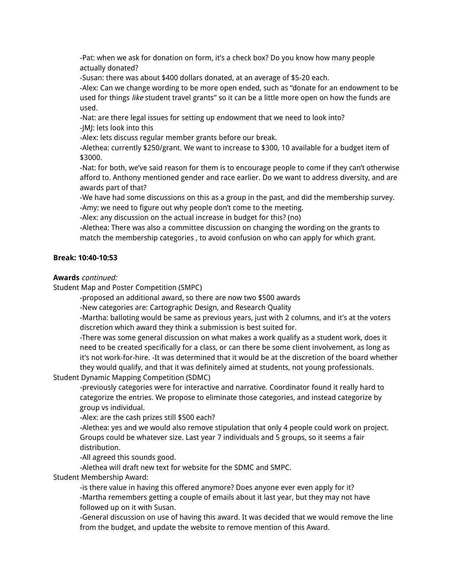-Pat: when we ask for donation on form, it's a check box? Do you know how many people actually donated?

-Susan: there was about \$400 dollars donated, at an average of \$5-20 each.

-Alex: Can we change wording to be more open ended, such as "donate for an endowment to be used for things like student travel grants" so it can be a little more open on how the funds are used.

-Nat: are there legal issues for setting up endowment that we need to look into? -JMJ: lets look into this

-Alex: lets discuss regular member grants before our break.

-Alethea: currently \$250/grant. We want to increase to \$300, 10 available for a budget item of \$3000.

-Nat: for both, we've said reason for them is to encourage people to come if they can't otherwise afford to. Anthony mentioned gender and race earlier. Do we want to address diversity, and are awards part of that?

-We have had some discussions on this as a group in the past, and did the membership survey. -Amy: we need to figure out why people don't come to the meeting.

-Alex: any discussion on the actual increase in budget for this? (no)

-Alethea: There was also a committee discussion on changing the wording on the grants to match the membership categories , to avoid confusion on who can apply for which grant.

## **Break: 10:40-10:53**

#### **Awards** continued:

Student Map and Poster Competition (SMPC)

-proposed an additional award, so there are now two \$500 awards

-New categories are: Cartographic Design, and Research Quality

-Martha: balloting would be same as previous years, just with 2 columns, and it's at the voters discretion which award they think a submission is best suited for.

-There was some general discussion on what makes a work qualify as a student work, does it need to be created specifically for a class, or can there be some client involvement, as long as it's not work-for-hire. -It was determined that it would be at the discretion of the board whether they would qualify, and that it was definitely aimed at students, not young professionals.

Student Dynamic Mapping Competition (SDMC)

-previously categories were for interactive and narrative. Coordinator found it really hard to categorize the entries. We propose to eliminate those categories, and instead categorize by group vs individual.

-Alex: are the cash prizes still \$500 each?

-Alethea: yes and we would also remove stipulation that only 4 people could work on project. Groups could be whatever size. Last year 7 individuals and 5 groups, so it seems a fair distribution.

-All agreed this sounds good.

-Alethea will draft new text for website for the SDMC and SMPC.

Student Membership Award:

-is there value in having this offered anymore? Does anyone ever even apply for it? -Martha remembers getting a couple of emails about it last year, but they may not have followed up on it with Susan.

-General discussion on use of having this award. It was decided that we would remove the line from the budget, and update the website to remove mention of this Award.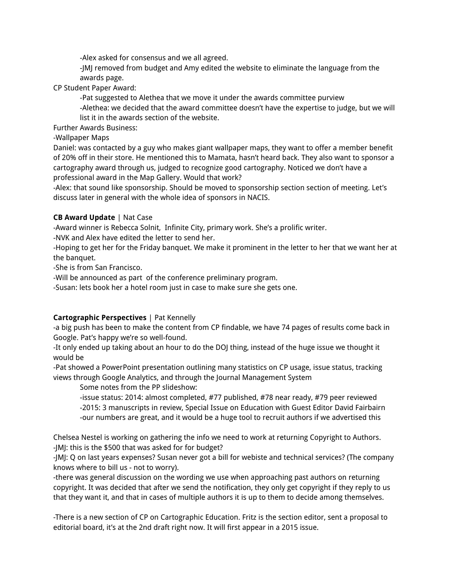-Alex asked for consensus and we all agreed.

-JMJ removed from budget and Amy edited the website to eliminate the language from the awards page.

CP Student Paper Award:

-Pat suggested to Alethea that we move it under the awards committee purview

-Alethea: we decided that the award committee doesn't have the expertise to judge, but we will list it in the awards section of the website.

Further Awards Business:

-Wallpaper Maps

Daniel: was contacted by a guy who makes giant wallpaper maps, they want to offer a member benefit of 20% off in their store. He mentioned this to Mamata, hasn't heard back. They also want to sponsor a cartography award through us, judged to recognize good cartography. Noticed we don't have a professional award in the Map Gallery. Would that work?

-Alex: that sound like sponsorship. Should be moved to sponsorship section section of meeting. Let's discuss later in general with the whole idea of sponsors in NACIS.

# **CB Award Update** | Nat Case

-Award winner is Rebecca Solnit, Infinite City, primary work. She's a prolific writer.

-NVK and Alex have edited the letter to send her.

-Hoping to get her for the Friday banquet. We make it prominent in the letter to her that we want her at the banquet.

-She is from San Francisco.

-Will be announced as part of the conference preliminary program.

-Susan: lets book her a hotel room just in case to make sure she gets one.

# **Cartographic Perspectives** | Pat Kennelly

-a big push has been to make the content from CP findable, we have 74 pages of results come back in Google. Pat's happy we're so well-found.

-It only ended up taking about an hour to do the DOJ thing, instead of the huge issue we thought it would be

-Pat showed a PowerPoint presentation outlining many statistics on CP usage, issue status, tracking views through Google Analytics, and through the Journal Management System

Some notes from the PP slideshow:

-issue status: 2014: almost completed, #77 published, #78 near ready, #79 peer reviewed -2015: 3 manuscripts in review, Special Issue on Education with Guest Editor David Fairbairn -our numbers are great, and it would be a huge tool to recruit authors if we advertised this

Chelsea Nestel is working on gathering the info we need to work at returning Copyright to Authors. -JMJ: this is the \$500 that was asked for for budget?

-JMJ: Q on last years expenses? Susan never got a bill for webiste and technical services? (The company knows where to bill us - not to worry).

-there was general discussion on the wording we use when approaching past authors on returning copyright. It was decided that after we send the notification, they only get copyright if they reply to us that they want it, and that in cases of multiple authors it is up to them to decide among themselves.

-There is a new section of CP on Cartographic Education. Fritz is the section editor, sent a proposal to editorial board, it's at the 2nd draft right now. It will first appear in a 2015 issue.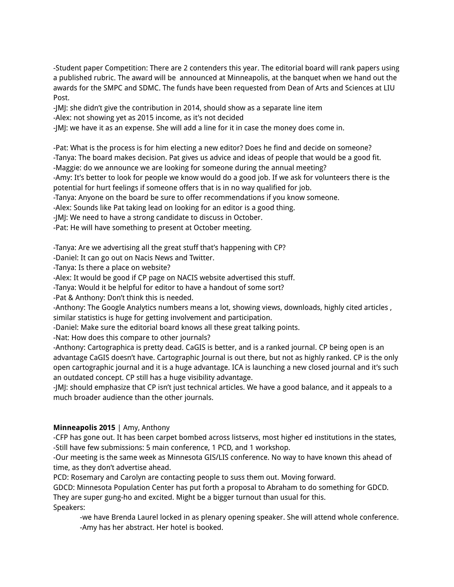-Student paper Competition: There are 2 contenders this year. The editorial board will rank papers using a published rubric. The award will be announced at Minneapolis, at the banquet when we hand out the awards for the SMPC and SDMC. The funds have been requested from Dean of Arts and Sciences at LIU Post.

-JMJ: she didn't give the contribution in 2014, should show as a separate line item

-Alex: not showing yet as 2015 income, as it's not decided

-JMJ: we have it as an expense. She will add a line for it in case the money does come in.

-Pat: What is the process is for him electing a new editor? Does he find and decide on someone?

-Tanya: The board makes decision. Pat gives us advice and ideas of people that would be a good fit.

-Maggie: do we announce we are looking for someone during the annual meeting?

-Amy: It's better to look for people we know would do a good job. If we ask for volunteers there is the potential for hurt feelings if someone offers that is in no way qualified for job.

-Tanya: Anyone on the board be sure to offer recommendations if you know someone.

-Alex: Sounds like Pat taking lead on looking for an editor is a good thing.

-JMJ: We need to have a strong candidate to discuss in October.

-Pat: He will have something to present at October meeting.

-Tanya: Are we advertising all the great stuff that's happening with CP?

-Daniel: It can go out on Nacis News and Twitter.

-Tanya: Is there a place on website?

-Alex: It would be good if CP page on NACIS website advertised this stuff.

-Tanya: Would it be helpful for editor to have a handout of some sort?

-Pat & Anthony: Don't think this is needed.

-Anthony: The Google Analytics numbers means a lot, showing views, downloads, highly cited articles , similar statistics is huge for getting involvement and participation.

-Daniel: Make sure the editorial board knows all these great talking points.

-Nat: How does this compare to other journals?

-Anthony: Cartographica is pretty dead. CaGIS is better, and is a ranked journal. CP being open is an advantage CaGIS doesn't have. Cartographic Journal is out there, but not as highly ranked. CP is the only open cartographic journal and it is a huge advantage. ICA is launching a new closed journal and it's such an outdated concept. CP still has a huge visibility advantage.

-JMJ: should emphasize that CP isn't just technical articles. We have a good balance, and it appeals to a much broader audience than the other journals.

# **Minneapolis 2015** | Amy, Anthony

-CFP has gone out. It has been carpet bombed across listservs, most higher ed institutions in the states, -Still have few submissions: 5 main conference, 1 PCD, and 1 workshop.

-Our meeting is the same week as Minnesota GIS/LIS conference. No way to have known this ahead of time, as they don't advertise ahead.

PCD: Rosemary and Carolyn are contacting people to suss them out. Moving forward.

GDCD: Minnesota Population Center has put forth a proposal to Abraham to do something for GDCD. They are super gung-ho and excited. Might be a bigger turnout than usual for this. Speakers:

-we have Brenda Laurel locked in as plenary opening speaker. She will attend whole conference. -Amy has her abstract. Her hotel is booked.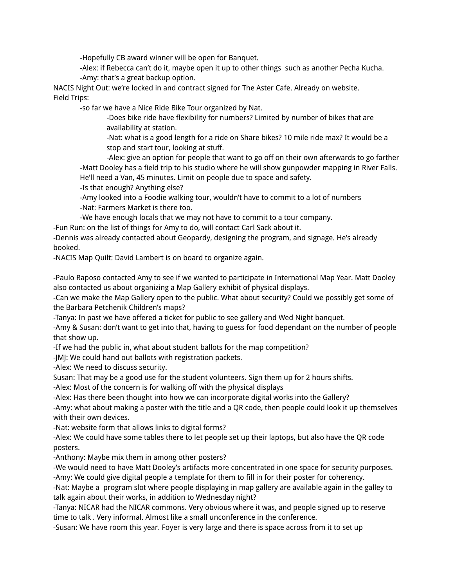-Hopefully CB award winner will be open for Banquet.

-Alex: if Rebecca can't do it, maybe open it up to other things such as another Pecha Kucha. -Amy: that's a great backup option.

NACIS Night Out: we're locked in and contract signed for The Aster Cafe. Already on website. Field Trips:

-so far we have a Nice Ride Bike Tour organized by Nat.

-Does bike ride have flexibility for numbers? Limited by number of bikes that are availability at station.

-Nat: what is a good length for a ride on Share bikes? 10 mile ride max? It would be a stop and start tour, looking at stuff.

-Alex: give an option for people that want to go off on their own afterwards to go farther -Matt Dooley has a field trip to his studio where he will show gunpowder mapping in River Falls. He'll need a Van, 45 minutes. Limit on people due to space and safety.

-Is that enough? Anything else?

-Amy looked into a Foodie walking tour, wouldn't have to commit to a lot of numbers -Nat: Farmers Market is there too.

-We have enough locals that we may not have to commit to a tour company.

-Fun Run: on the list of things for Amy to do, will contact Carl Sack about it.

-Dennis was already contacted about Geopardy, designing the program, and signage. He's already booked.

-NACIS Map Quilt: David Lambert is on board to organize again.

-Paulo Raposo contacted Amy to see if we wanted to participate in International Map Year. Matt Dooley also contacted us about organizing a Map Gallery exhibit of physical displays.

-Can we make the Map Gallery open to the public. What about security? Could we possibly get some of the Barbara Petchenik Children's maps?

-Tanya: In past we have offered a ticket for public to see gallery and Wed Night banquet.

-Amy & Susan: don't want to get into that, having to guess for food dependant on the number of people that show up.

-If we had the public in, what about student ballots for the map competition?

-JMJ: We could hand out ballots with registration packets.

-Alex: We need to discuss security.

Susan: That may be a good use for the student volunteers. Sign them up for 2 hours shifts.

-Alex: Most of the concern is for walking off with the physical displays

-Alex: Has there been thought into how we can incorporate digital works into the Gallery?

-Amy: what about making a poster with the title and a QR code, then people could look it up themselves with their own devices.

-Nat: website form that allows links to digital forms?

-Alex: We could have some tables there to let people set up their laptops, but also have the QR code posters.

-Anthony: Maybe mix them in among other posters?

-We would need to have Matt Dooley's artifacts more concentrated in one space for security purposes. -Amy: We could give digital people a template for them to fill in for their poster for coherency.

-Nat: Maybe a program slot where people displaying in map gallery are available again in the galley to talk again about their works, in addition to Wednesday night?

-Tanya: NICAR had the NICAR commons. Very obvious where it was, and people signed up to reserve time to talk . Very informal. Almost like a small unconference in the conference.

-Susan: We have room this year. Foyer is very large and there is space across from it to set up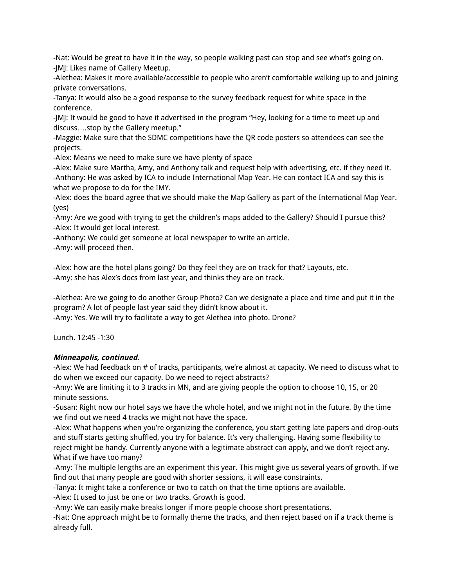-Nat: Would be great to have it in the way, so people walking past can stop and see what's going on. -JMJ: Likes name of Gallery Meetup.

-Alethea: Makes it more available/accessible to people who aren't comfortable walking up to and joining private conversations.

-Tanya: It would also be a good response to the survey feedback request for white space in the conference.

-JMJ: It would be good to have it advertised in the program "Hey, looking for a time to meet up and discuss….stop by the Gallery meetup."

-Maggie: Make sure that the SDMC competitions have the QR code posters so attendees can see the projects.

-Alex: Means we need to make sure we have plenty of space

-Alex: Make sure Martha, Amy, and Anthony talk and request help with advertising, etc. if they need it. -Anthony: He was asked by ICA to include International Map Year. He can contact ICA and say this is what we propose to do for the IMY.

-Alex: does the board agree that we should make the Map Gallery as part of the International Map Year. (yes)

-Amy: Are we good with trying to get the children's maps added to the Gallery? Should I pursue this? -Alex: It would get local interest.

-Anthony: We could get someone at local newspaper to write an article.

-Amy: will proceed then.

-Alex: how are the hotel plans going? Do they feel they are on track for that? Layouts, etc. -Amy: she has Alex's docs from last year, and thinks they are on track.

-Alethea: Are we going to do another Group Photo? Can we designate a place and time and put it in the program? A lot of people last year said they didn't know about it.

-Amy: Yes. We will try to facilitate a way to get Alethea into photo. Drone?

Lunch. 12:45 -1:30

# **Minneapolis, continued.**

-Alex: We had feedback on # of tracks, participants, we're almost at capacity. We need to discuss what to do when we exceed our capacity. Do we need to reject abstracts?

-Amy: We are limiting it to 3 tracks in MN, and are giving people the option to choose 10, 15, or 20 minute sessions.

-Susan: Right now our hotel says we have the whole hotel, and we might not in the future. By the time we find out we need 4 tracks we might not have the space.

-Alex: What happens when you're organizing the conference, you start getting late papers and drop-outs and stuff starts getting shuffled, you try for balance. It's very challenging. Having some flexibility to reject might be handy. Currently anyone with a legitimate abstract can apply, and we don't reject any. What if we have too many?

-Amy: The multiple lengths are an experiment this year. This might give us several years of growth. If we find out that many people are good with shorter sessions, it will ease constraints.

-Tanya: It might take a conference or two to catch on that the time options are available.

-Alex: It used to just be one or two tracks. Growth is good.

-Amy: We can easily make breaks longer if more people choose short presentations.

-Nat: One approach might be to formally theme the tracks, and then reject based on if a track theme is already full.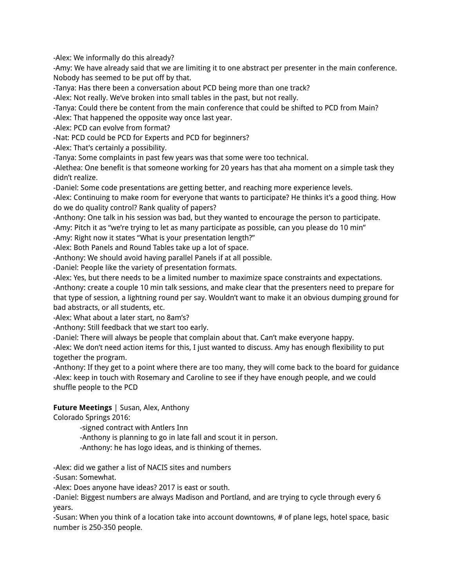-Alex: We informally do this already?

-Amy: We have already said that we are limiting it to one abstract per presenter in the main conference. Nobody has seemed to be put off by that.

-Tanya: Has there been a conversation about PCD being more than one track?

-Alex: Not really. We've broken into small tables in the past, but not really.

-Tanya: Could there be content from the main conference that could be shifted to PCD from Main?

-Alex: That happened the opposite way once last year.

-Alex: PCD can evolve from format?

-Nat: PCD could be PCD for Experts and PCD for beginners?

-Alex: That's certainly a possibility.

-Tanya: Some complaints in past few years was that some were too technical.

-Alethea: One benefit is that someone working for 20 years has that aha moment on a simple task they didn't realize.

-Daniel: Some code presentations are getting better, and reaching more experience levels.

-Alex: Continuing to make room for everyone that wants to participate? He thinks it's a good thing. How do we do quality control? Rank quality of papers?

-Anthony: One talk in his session was bad, but they wanted to encourage the person to participate.

-Amy: Pitch it as "we're trying to let as many participate as possible, can you please do 10 min"

-Amy: Right now it states "What is your presentation length?"

-Alex: Both Panels and Round Tables take up a lot of space.

-Anthony: We should avoid having parallel Panels if at all possible.

-Daniel: People like the variety of presentation formats.

-Alex: Yes, but there needs to be a limited number to maximize space constraints and expectations.

-Anthony: create a couple 10 min talk sessions, and make clear that the presenters need to prepare for that type of session, a lightning round per say. Wouldn't want to make it an obvious dumping ground for bad abstracts, or all students, etc.

-Alex: What about a later start, no 8am's?

-Anthony: Still feedback that we start too early.

-Daniel: There will always be people that complain about that. Can't make everyone happy.

-Alex: We don't need action items for this, I just wanted to discuss. Amy has enough flexibility to put together the program.

-Anthony: If they get to a point where there are too many, they will come back to the board for guidance -Alex: keep in touch with Rosemary and Caroline to see if they have enough people, and we could shuffle people to the PCD

# **Future Meetings** | Susan, Alex, Anthony

Colorado Springs 2016:

-signed contract with Antlers Inn

-Anthony is planning to go in late fall and scout it in person.

-Anthony: he has logo ideas, and is thinking of themes.

-Alex: did we gather a list of NACIS sites and numbers

-Susan: Somewhat.

-Alex: Does anyone have ideas? 2017 is east or south.

-Daniel: Biggest numbers are always Madison and Portland, and are trying to cycle through every 6 years.

-Susan: When you think of a location take into account downtowns, # of plane legs, hotel space, basic number is 250-350 people.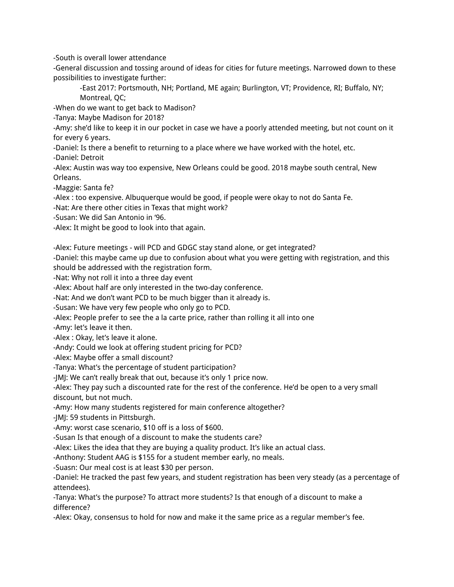-South is overall lower attendance

-General discussion and tossing around of ideas for cities for future meetings. Narrowed down to these possibilities to investigate further:

-East 2017: Portsmouth, NH; Portland, ME again; Burlington, VT; Providence, RI; Buffalo, NY; Montreal, QC;

-When do we want to get back to Madison?

-Tanya: Maybe Madison for 2018?

-Amy: she'd like to keep it in our pocket in case we have a poorly attended meeting, but not count on it for every 6 years.

-Daniel: Is there a benefit to returning to a place where we have worked with the hotel, etc.

-Daniel: Detroit

-Alex: Austin was way too expensive, New Orleans could be good. 2018 maybe south central, New Orleans.

-Maggie: Santa fe?

-Alex : too expensive. Albuquerque would be good, if people were okay to not do Santa Fe.

-Nat: Are there other cities in Texas that might work?

-Susan: We did San Antonio in '96.

-Alex: It might be good to look into that again.

-Alex: Future meetings - will PCD and GDGC stay stand alone, or get integrated?

-Daniel: this maybe came up due to confusion about what you were getting with registration, and this

should be addressed with the registration form.

-Nat: Why not roll it into a three day event

-Alex: About half are only interested in the two-day conference.

-Nat: And we don't want PCD to be much bigger than it already is.

-Susan: We have very few people who only go to PCD.

-Alex: People prefer to see the a la carte price, rather than rolling it all into one

-Amy: let's leave it then.

-Alex : Okay, let's leave it alone.

-Andy: Could we look at offering student pricing for PCD?

-Alex: Maybe offer a small discount?

-Tanya: What's the percentage of student participation?

-JMJ: We can't really break that out, because it's only 1 price now.

-Alex: They pay such a discounted rate for the rest of the conference. He'd be open to a very small discount, but not much.

-Amy: How many students registered for main conference altogether?

-JMJ: 59 students in Pittsburgh.

-Amy: worst case scenario, \$10 off is a loss of \$600.

-Susan Is that enough of a discount to make the students care?

-Alex: Likes the idea that they are buying a quality product. It's like an actual class.

-Anthony: Student AAG is \$155 for a student member early, no meals.

-Suasn: Our meal cost is at least \$30 per person.

-Daniel: He tracked the past few years, and student registration has been very steady (as a percentage of attendees).

-Tanya: What's the purpose? To attract more students? Is that enough of a discount to make a difference?

-Alex: Okay, consensus to hold for now and make it the same price as a regular member's fee.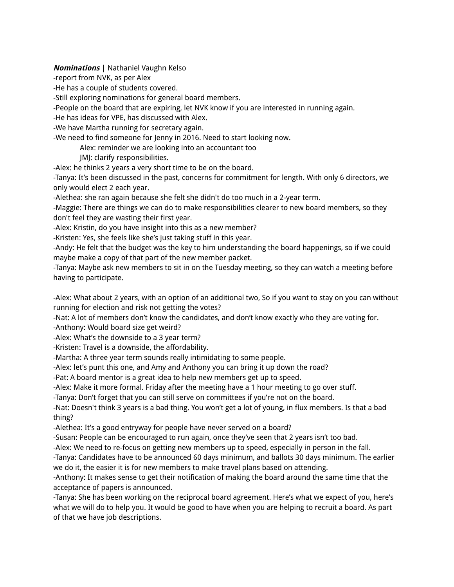## **Nominations** | Nathaniel Vaughn Kelso

-report from NVK, as per Alex

-He has a couple of students covered.

-Still exploring nominations for general board members.

-People on the board that are expiring, let NVK know if you are interested in running again.

-He has ideas for VPE, has discussed with Alex.

-We have Martha running for secretary again.

-We need to find someone for Jenny in 2016. Need to start looking now.

Alex: reminder we are looking into an accountant too

JMJ: clarify responsibilities.

-Alex: he thinks 2 years a very short time to be on the board.

-Tanya: It's been discussed in the past, concerns for commitment for length. With only 6 directors, we only would elect 2 each year.

-Alethea: she ran again because she felt she didn't do too much in a 2-year term.

-Maggie: There are things we can do to make responsibilities clearer to new board members, so they don't feel they are wasting their first year.

-Alex: Kristin, do you have insight into this as a new member?

-Kristen: Yes, she feels like she's just taking stuff in this year.

-Andy: He felt that the budget was the key to him understanding the board happenings, so if we could maybe make a copy of that part of the new member packet.

-Tanya: Maybe ask new members to sit in on the Tuesday meeting, so they can watch a meeting before having to participate.

-Alex: What about 2 years, with an option of an additional two, So if you want to stay on you can without running for election and risk not getting the votes?

-Nat: A lot of members don't know the candidates, and don't know exactly who they are voting for.

-Anthony: Would board size get weird?

-Alex: What's the downside to a 3 year term?

-Kristen: Travel is a downside, the affordability.

-Martha: A three year term sounds really intimidating to some people.

-Alex: let's punt this one, and Amy and Anthony you can bring it up down the road?

-Pat: A board mentor is a great idea to help new members get up to speed.

-Alex: Make it more formal. Friday after the meeting have a 1 hour meeting to go over stuff.

-Tanya: Don't forget that you can still serve on committees if you're not on the board.

-Nat: Doesn't think 3 years is a bad thing. You won't get a lot of young, in flux members. Is that a bad thing?

-Alethea: It's a good entryway for people have never served on a board?

-Susan: People can be encouraged to run again, once they've seen that 2 years isn't too bad.

-Alex: We need to re-focus on getting new members up to speed, especially in person in the fall.

-Tanya: Candidates have to be announced 60 days minimum, and ballots 30 days minimum. The earlier we do it, the easier it is for new members to make travel plans based on attending.

-Anthony: It makes sense to get their notification of making the board around the same time that the acceptance of papers is announced.

-Tanya: She has been working on the reciprocal board agreement. Here's what we expect of you, here's what we will do to help you. It would be good to have when you are helping to recruit a board. As part of that we have job descriptions.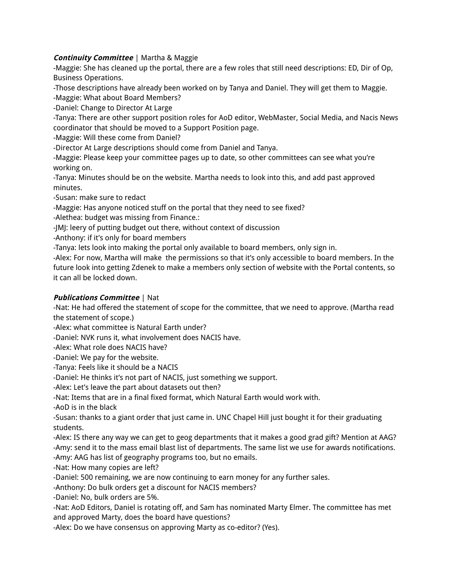# **Continuity Committee** | Martha & Maggie

-Maggie: She has cleaned up the portal, there are a few roles that still need descriptions: ED, Dir of Op, Business Operations.

-Those descriptions have already been worked on by Tanya and Daniel. They will get them to Maggie.

-Maggie: What about Board Members?

-Daniel: Change to Director At Large

-Tanya: There are other support position roles for AoD editor, WebMaster, Social Media, and Nacis News coordinator that should be moved to a Support Position page.

-Maggie: Will these come from Daniel?

-Director At Large descriptions should come from Daniel and Tanya.

-Maggie: Please keep your committee pages up to date, so other committees can see what you're working on.

-Tanya: Minutes should be on the website. Martha needs to look into this, and add past approved minutes.

-Susan: make sure to redact

-Maggie: Has anyone noticed stuff on the portal that they need to see fixed?

-Alethea: budget was missing from Finance.:

-JMJ: leery of putting budget out there, without context of discussion

-Anthony: if it's only for board members

-Tanya: lets look into making the portal only available to board members, only sign in.

-Alex: For now, Martha will make the permissions so that it's only accessible to board members. In the future look into getting Zdenek to make a members only section of website with the Portal contents, so it can all be locked down.

# **Publications Committee** | Nat

-Nat: He had offered the statement of scope for the committee, that we need to approve. (Martha read the statement of scope.)

-Alex: what committee is Natural Earth under?

-Daniel: NVK runs it, what involvement does NACIS have.

-Alex: What role does NACIS have?

-Daniel: We pay for the website.

-Tanya: Feels like it should be a NACIS

-Daniel: He thinks it's not part of NACIS, just something we support.

-Alex: Let's leave the part about datasets out then?

-Nat: Items that are in a final fixed format, which Natural Earth would work with.

-AoD is in the black

-Susan: thanks to a giant order that just came in. UNC Chapel Hill just bought it for their graduating students.

-Alex: IS there any way we can get to geog departments that it makes a good grad gift? Mention at AAG? -Amy: send it to the mass email blast list of departments. The same list we use for awards notifications. -Amy: AAG has list of geography programs too, but no emails.

-Nat: How many copies are left?

-Daniel: 500 remaining, we are now continuing to earn money for any further sales.

-Anthony: Do bulk orders get a discount for NACIS members?

-Daniel: No, bulk orders are 5%.

-Nat: AoD Editors, Daniel is rotating off, and Sam has nominated Marty Elmer. The committee has met and approved Marty, does the board have questions?

-Alex: Do we have consensus on approving Marty as co-editor? (Yes).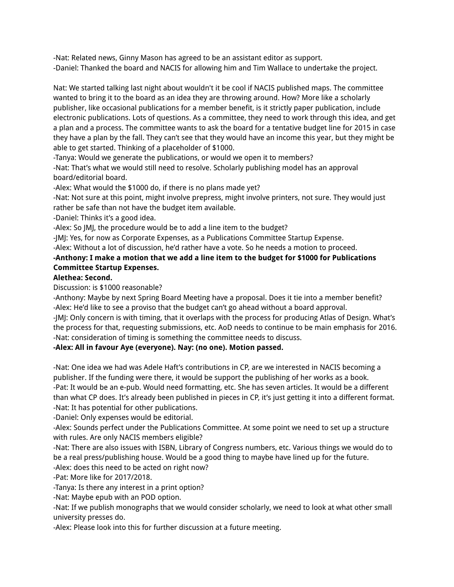-Nat: Related news, Ginny Mason has agreed to be an assistant editor as support. -Daniel: Thanked the board and NACIS for allowing him and Tim Wallace to undertake the project.

Nat: We started talking last night about wouldn't it be cool if NACIS published maps. The committee wanted to bring it to the board as an idea they are throwing around. How? More like a scholarly publisher, like occasional publications for a member benefit, is it strictly paper publication, include electronic publications. Lots of questions. As a committee, they need to work through this idea, and get a plan and a process. The committee wants to ask the board for a tentative budget line for 2015 in case they have a plan by the fall. They can't see that they would have an income this year, but they might be able to get started. Thinking of a placeholder of \$1000.

-Tanya: Would we generate the publications, or would we open it to members?

-Nat: That's what we would still need to resolve. Scholarly publishing model has an approval board/editorial board.

-Alex: What would the \$1000 do, if there is no plans made yet?

-Nat: Not sure at this point, might involve prepress, might involve printers, not sure. They would just rather be safe than not have the budget item available.

-Daniel: Thinks it's a good idea.

-Alex: So JMJ, the procedure would be to add a line item to the budget?

-JMJ: Yes, for now as Corporate Expenses, as a Publications Committee Startup Expense.

-Alex: Without a lot of discussion, he'd rather have a vote. So he needs a motion to proceed.

# **-Anthony: I make a motion that we add a line item to the budget for \$1000 for Publications Committee Startup Expenses.**

## **Alethea: Second.**

Discussion: is \$1000 reasonable?

-Anthony: Maybe by next Spring Board Meeting have a proposal. Does it tie into a member benefit? -Alex: He'd like to see a proviso that the budget can't go ahead without a board approval.

-JMJ: Only concern is with timing, that it overlaps with the process for producing Atlas of Design. What's the process for that, requesting submissions, etc. AoD needs to continue to be main emphasis for 2016. -Nat: consideration of timing is something the committee needs to discuss.

#### **-Alex: All in favour Aye (everyone). Nay: (no one). Motion passed.**

-Nat: One idea we had was Adele Haft's contributions in CP, are we interested in NACIS becoming a publisher. If the funding were there, it would be support the publishing of her works as a book. -Pat: It would be an e-pub. Would need formatting, etc. She has seven articles. It would be a different than what CP does. It's already been published in pieces in CP, it's just getting it into a different format. -Nat: It has potential for other publications.

-Daniel: Only expenses would be editorial.

-Alex: Sounds perfect under the Publications Committee. At some point we need to set up a structure with rules. Are only NACIS members eligible?

-Nat: There are also issues with ISBN, Library of Congress numbers, etc. Various things we would do to be a real press/publishing house. Would be a good thing to maybe have lined up for the future.

-Alex: does this need to be acted on right now?

-Pat: More like for 2017/2018.

-Tanya: Is there any interest in a print option?

-Nat: Maybe epub with an POD option.

-Nat: If we publish monographs that we would consider scholarly, we need to look at what other small university presses do.

-Alex: Please look into this for further discussion at a future meeting.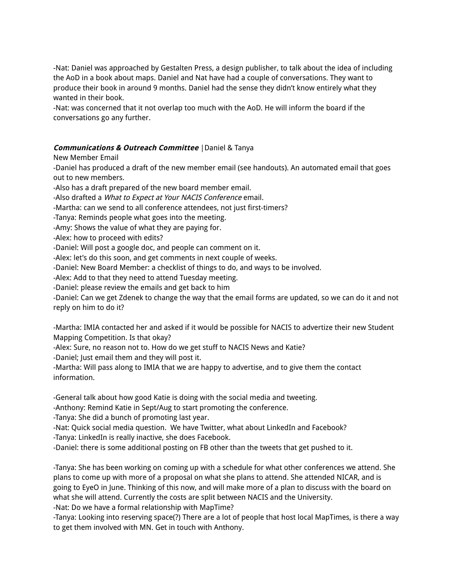-Nat: Daniel was approached by Gestalten Press, a design publisher, to talk about the idea of including the AoD in a book about maps. Daniel and Nat have had a couple of conversations. They want to produce their book in around 9 months. Daniel had the sense they didn't know entirely what they wanted in their book.

-Nat: was concerned that it not overlap too much with the AoD. He will inform the board if the conversations go any further.

## **Communications & Outreach Committee** |Daniel & Tanya

New Member Email

-Daniel has produced a draft of the new member email (see handouts). An automated email that goes out to new members.

-Also has a draft prepared of the new board member email.

-Also drafted a What to Expect at Your NACIS Conference email.

-Martha: can we send to all conference attendees, not just first-timers?

-Tanya: Reminds people what goes into the meeting.

-Amy: Shows the value of what they are paying for.

-Alex: how to proceed with edits?

-Daniel: Will post a google doc, and people can comment on it.

-Alex: let's do this soon, and get comments in next couple of weeks.

-Daniel: New Board Member: a checklist of things to do, and ways to be involved.

-Alex: Add to that they need to attend Tuesday meeting.

-Daniel: please review the emails and get back to him

-Daniel: Can we get Zdenek to change the way that the email forms are updated, so we can do it and not reply on him to do it?

-Martha: IMIA contacted her and asked if it would be possible for NACIS to advertize their new Student Mapping Competition. Is that okay?

-Alex: Sure, no reason not to. How do we get stuff to NACIS News and Katie?

-Daniel; Just email them and they will post it.

-Martha: Will pass along to IMIA that we are happy to advertise, and to give them the contact information.

-General talk about how good Katie is doing with the social media and tweeting.

-Anthony: Remind Katie in Sept/Aug to start promoting the conference.

-Tanya: She did a bunch of promoting last year.

-Nat: Quick social media question. We have Twitter, what about LinkedIn and Facebook?

-Tanya: LinkedIn is really inactive, she does Facebook.

-Daniel: there is some additional posting on FB other than the tweets that get pushed to it.

-Tanya: She has been working on coming up with a schedule for what other conferences we attend. She plans to come up with more of a proposal on what she plans to attend. She attended NICAR, and is going to EyeO in June. Thinking of this now, and will make more of a plan to discuss with the board on what she will attend. Currently the costs are split between NACIS and the University. -Nat: Do we have a formal relationship with MapTime?

-Tanya: Looking into reserving space(?) There are a lot of people that host local MapTimes, is there a way to get them involved with MN. Get in touch with Anthony.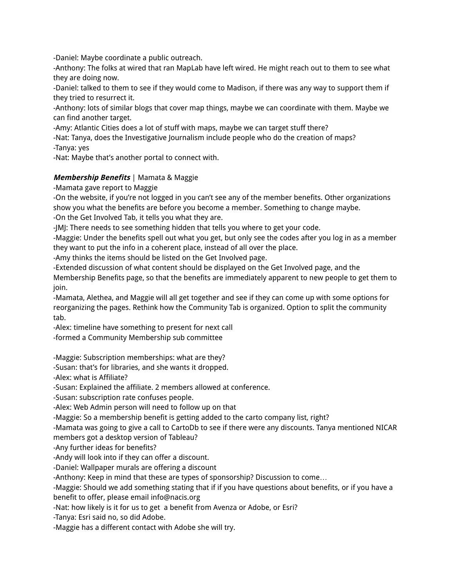-Daniel: Maybe coordinate a public outreach.

-Anthony: The folks at wired that ran MapLab have left wired. He might reach out to them to see what they are doing now.

-Daniel: talked to them to see if they would come to Madison, if there was any way to support them if they tried to resurrect it.

-Anthony: lots of similar blogs that cover map things, maybe we can coordinate with them. Maybe we can find another target.

-Amy: Atlantic Cities does a lot of stuff with maps, maybe we can target stuff there?

-Nat: Tanya, does the Investigative Journalism include people who do the creation of maps?

-Tanya: yes

-Nat: Maybe that's another portal to connect with.

# **Membership Benefits** | Mamata & Maggie

-Mamata gave report to Maggie

-On the website, if you're not logged in you can't see any of the member benefits. Other organizations show you what the benefits are before you become a member. Something to change maybe.

-On the Get Involved Tab, it tells you what they are.

-JMJ: There needs to see something hidden that tells you where to get your code.

-Maggie: Under the benefits spell out what you get, but only see the codes after you log in as a member they want to put the info in a coherent place, instead of all over the place.

-Amy thinks the items should be listed on the Get Involved page.

-Extended discussion of what content should be displayed on the Get Involved page, and the Membership Benefits page, so that the benefits are immediately apparent to new people to get them to join.

-Mamata, Alethea, and Maggie will all get together and see if they can come up with some options for reorganizing the pages. Rethink how the Community Tab is organized. Option to split the community tab.

-Alex: timeline have something to present for next call

-formed a Community Membership sub committee

-Maggie: Subscription memberships: what are they?

-Susan: that's for libraries, and she wants it dropped.

-Alex: what is Affiliate?

-Susan: Explained the affiliate. 2 members allowed at conference.

-Susan: subscription rate confuses people.

-Alex: Web Admin person will need to follow up on that

-Maggie: So a membership benefit is getting added to the carto company list, right?

-Mamata was going to give a call to CartoDb to see if there were any discounts. Tanya mentioned NICAR members got a desktop version of Tableau?

-Any further ideas for benefits?

-Andy will look into if they can offer a discount.

-Daniel: Wallpaper murals are offering a discount

-Anthony: Keep in mind that these are types of sponsorship? Discussion to come…

-Maggie: Should we add something stating that if if you have questions about benefits, or if you have a benefit to offer, please email info@nacis.org

-Nat: how likely is it for us to get a benefit from Avenza or Adobe, or Esri?

-Tanya: Esri said no, so did Adobe.

-Maggie has a different contact with Adobe she will try.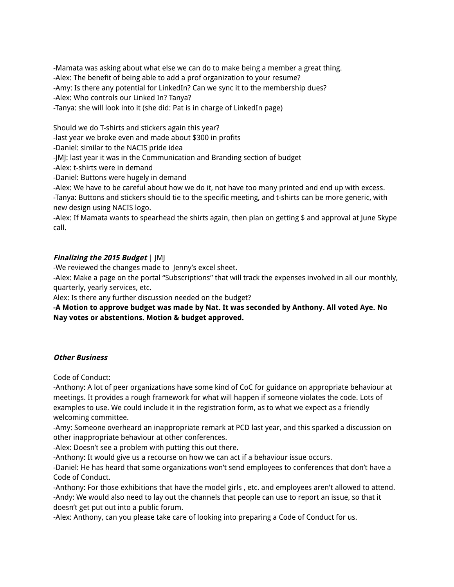-Mamata was asking about what else we can do to make being a member a great thing. -Alex: The benefit of being able to add a prof organization to your resume? -Amy: Is there any potential for LinkedIn? Can we sync it to the membership dues? -Alex: Who controls our Linked In? Tanya? -Tanya: she will look into it (she did: Pat is in charge of LinkedIn page)

Should we do T-shirts and stickers again this year?

-last year we broke even and made about \$300 in profits

-Daniel: similar to the NACIS pride idea

-JMJ: last year it was in the Communication and Branding section of budget

-Alex: t-shirts were in demand

-Daniel: Buttons were hugely in demand

-Alex: We have to be careful about how we do it, not have too many printed and end up with excess. -Tanya: Buttons and stickers should tie to the specific meeting, and t-shirts can be more generic, with new design using NACIS logo.

-Alex: If Mamata wants to spearhead the shirts again, then plan on getting \$ and approval at June Skype call.

# **Finalizing the 2015 Budget** | JMJ

-We reviewed the changes made to Jenny's excel sheet.

-Alex: Make a page on the portal "Subscriptions" that will track the expenses involved in all our monthly, quarterly, yearly services, etc.

Alex: Is there any further discussion needed on the budget?

**-A Motion to approve budget was made by Nat. It was seconded by Anthony. All voted Aye. No Nay votes or abstentions. Motion & budget approved.**

#### **Other Business**

Code of Conduct:

-Anthony: A lot of peer organizations have some kind of CoC for guidance on appropriate behaviour at meetings. It provides a rough framework for what will happen if someone violates the code. Lots of examples to use. We could include it in the registration form, as to what we expect as a friendly welcoming committee.

-Amy: Someone overheard an inappropriate remark at PCD last year, and this sparked a discussion on other inappropriate behaviour at other conferences.

-Alex: Doesn't see a problem with putting this out there.

-Anthony: It would give us a recourse on how we can act if a behaviour issue occurs.

-Daniel: He has heard that some organizations won't send employees to conferences that don't have a Code of Conduct.

-Anthony: For those exhibitions that have the model girls , etc. and employees aren't allowed to attend. -Andy: We would also need to lay out the channels that people can use to report an issue, so that it doesn't get put out into a public forum.

-Alex: Anthony, can you please take care of looking into preparing a Code of Conduct for us.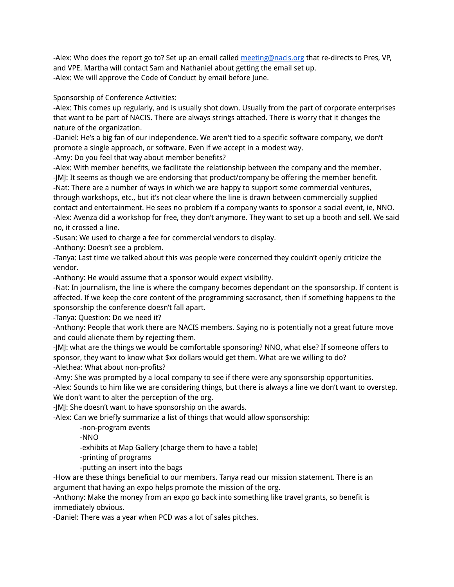-Alex: Who does the report go to? Set up an email called meeting@nacis.org that re-directs to Pres, VP, and VPE. Martha will contact Sam and Nathaniel about getting the email set up. -Alex: We will approve the Code of Conduct by email before June.

Sponsorship of Conference Activities:

-Alex: This comes up regularly, and is usually shot down. Usually from the part of corporate enterprises that want to be part of NACIS. There are always strings attached. There is worry that it changes the nature of the organization.

-Daniel: He's a big fan of our independence. We aren't tied to a specific software company, we don't promote a single approach, or software. Even if we accept in a modest way.

-Amy: Do you feel that way about member benefits?

-Alex: With member benefits, we facilitate the relationship between the company and the member. -JMJ: It seems as though we are endorsing that product/company be offering the member benefit. -Nat: There are a number of ways in which we are happy to support some commercial ventures, through workshops, etc., but it's not clear where the line is drawn between commercially supplied contact and entertainment. He sees no problem if a company wants to sponsor a social event, ie, NNO. -Alex: Avenza did a workshop for free, they don't anymore. They want to set up a booth and sell. We said no, it crossed a line.

-Susan: We used to charge a fee for commercial vendors to display.

-Anthony: Doesn't see a problem.

-Tanya: Last time we talked about this was people were concerned they couldn't openly criticize the vendor.

-Anthony: He would assume that a sponsor would expect visibility.

-Nat: In journalism, the line is where the company becomes dependant on the sponsorship. If content is affected. If we keep the core content of the programming sacrosanct, then if something happens to the sponsorship the conference doesn't fall apart.

-Tanya: Question: Do we need it?

-Anthony: People that work there are NACIS members. Saying no is potentially not a great future move and could alienate them by rejecting them.

-JMJ: what are the things we would be comfortable sponsoring? NNO, what else? If someone offers to sponsor, they want to know what \$xx dollars would get them. What are we willing to do? -Alethea: What about non-profits?

-Amy: She was prompted by a local company to see if there were any sponsorship opportunities. -Alex: Sounds to him like we are considering things, but there is always a line we don't want to overstep.

We don't want to alter the perception of the org.

-JMJ: She doesn't want to have sponsorship on the awards.

-Alex: Can we briefly summarize a list of things that would allow sponsorship:

-non-program events

-NNO

-exhibits at Map Gallery (charge them to have a table)

-printing of programs

-putting an insert into the bags

-How are these things beneficial to our members. Tanya read our mission statement. There is an argument that having an expo helps promote the mission of the org.

-Anthony: Make the money from an expo go back into something like travel grants, so benefit is immediately obvious.

-Daniel: There was a year when PCD was a lot of sales pitches.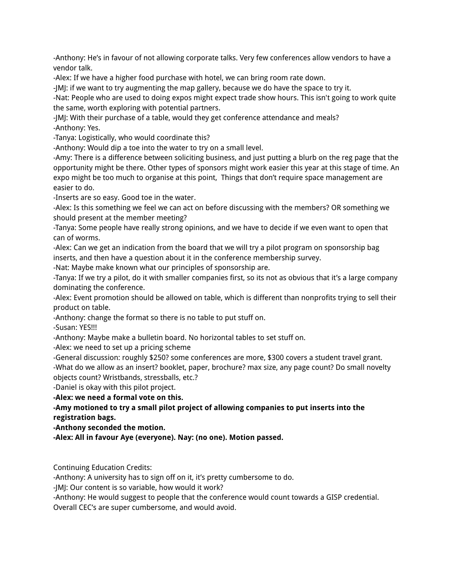-Anthony: He's in favour of not allowing corporate talks. Very few conferences allow vendors to have a vendor talk.

-Alex: If we have a higher food purchase with hotel, we can bring room rate down.

-JMJ: if we want to try augmenting the map gallery, because we do have the space to try it.

-Nat: People who are used to doing expos might expect trade show hours. This isn't going to work quite the same, worth exploring with potential partners.

-JMJ: With their purchase of a table, would they get conference attendance and meals? -Anthony: Yes.

-Tanya: Logistically, who would coordinate this?

-Anthony: Would dip a toe into the water to try on a small level.

-Amy: There is a difference between soliciting business, and just putting a blurb on the reg page that the opportunity might be there. Other types of sponsors might work easier this year at this stage of time. An expo might be too much to organise at this point, Things that don't require space management are easier to do.

-Inserts are so easy. Good toe in the water.

-Alex: Is this something we feel we can act on before discussing with the members? OR something we should present at the member meeting?

-Tanya: Some people have really strong opinions, and we have to decide if we even want to open that can of worms.

-Alex: Can we get an indication from the board that we will try a pilot program on sponsorship bag inserts, and then have a question about it in the conference membership survey.

-Nat: Maybe make known what our principles of sponsorship are.

-Tanya: If we try a pilot, do it with smaller companies first, so its not as obvious that it's a large company dominating the conference.

-Alex: Event promotion should be allowed on table, which is different than nonprofits trying to sell their product on table.

-Anthony: change the format so there is no table to put stuff on.

-Susan: YES!!!

-Anthony: Maybe make a bulletin board. No horizontal tables to set stuff on.

-Alex: we need to set up a pricing scheme

-General discussion: roughly \$250? some conferences are more, \$300 covers a student travel grant. -What do we allow as an insert? booklet, paper, brochure? max size, any page count? Do small novelty objects count? Wristbands, stressballs, etc.?

-Daniel is okay with this pilot project.

**-Alex: we need a formal vote on this.**

**-Amy motioned to try a small pilot project of allowing companies to put inserts into the registration bags.**

**-Anthony seconded the motion.**

**-Alex: All in favour Aye (everyone). Nay: (no one). Motion passed.**

Continuing Education Credits:

-Anthony: A university has to sign off on it, it's pretty cumbersome to do.

-JMJ: Our content is so variable, how would it work?

-Anthony: He would suggest to people that the conference would count towards a GISP credential.

Overall CEC's are super cumbersome, and would avoid.